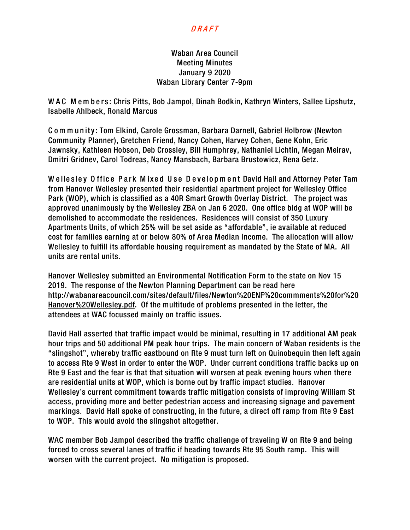## DRAFT

## Waban Area Council Meeting Minutes January 9 2020 Waban Library Center 7-9pm

WAC Members: Chris Pitts, Bob Jampol, Dinah Bodkin, Kathryn Winters, Sallee Lipshutz, Isabelle Ahlbeck, Ronald Marcus

C om m unity : Tom Elkind, Carole Grossman, Barbara Darnell, Gabriel Holbrow (Newton Community Planner), Gretchen Friend, Nancy Cohen, Harvey Cohen, Gene Kohn, Eric Jawnsky, Kathleen Hobson, Deb Crossley, Bill Humphrey, Nathaniel Lichtin, Megan Meirav, Dmitri Gridnev, Carol Todreas, Nancy Mansbach, Barbara Brustowicz, Rena Getz.

W ellesley O ffice Park M ixed Use D evelopm ent David Hall and Attorney Peter Tam from Hanover Wellesley presented their residential apartment project for Wellesley Office Park (WOP), which is classified as a 40R Smart Growth Overlay District. The project was approved unanimously by the Wellesley ZBA on Jan 6 2020. One office bldg at WOP will be demolished to accommodate the residences. Residences will consist of 350 Luxury Apartments Units, of which 25% will be set aside as "affordable", ie available at reduced cost for families earning at or below 80% of Area Median Income. The allocation will allow Wellesley to fulfill its affordable housing requirement as mandated by the State of MA. All units are rental units.

Hanover Wellesley submitted an Environmental Notification Form to the state on Nov 15 2019. The response of the Newton Planning Department can be read here [http://wabanareacouncil.com/sites/default/files/Newton%20ENF%20commments%20for%20](http://wabanareacouncil.com/sites/default/files/Newton%20ENF%20commments%20for%20Hanover%20Wellesley.pdf) [Hanover%20Wellesley.pdf.](http://wabanareacouncil.com/sites/default/files/Newton%20ENF%20commments%20for%20Hanover%20Wellesley.pdf) Of the multitude of problems presented in the letter, the attendees at WAC focussed mainly on traffic issues.

David Hall asserted that traffic impact would be minimal, resulting in 17 additional AM peak hour trips and 50 additional PM peak hour trips. The main concern of Waban residents is the "slingshot", whereby traffic eastbound on Rte 9 must turn left on Quinobequin then left again to access Rte 9 West in order to enter the WOP. Under current conditions traffic backs up on Rte 9 East and the fear is that that situation will worsen at peak evening hours when there are residential units at WOP, which is borne out by traffic impact studies. Hanover Wellesley's current commitment towards traffic mitigation consists of improving William St access, providing more and better pedestrian access and increasing signage and pavement markings. David Hall spoke of constructing, in the future, a direct off ramp from Rte 9 East to WOP. This would avoid the slingshot altogether.

WAC member Bob Jampol described the traffic challenge of traveling W on Rte 9 and being forced to cross several lanes of traffic if heading towards Rte 95 South ramp. This will worsen with the current project. No mitigation is proposed.